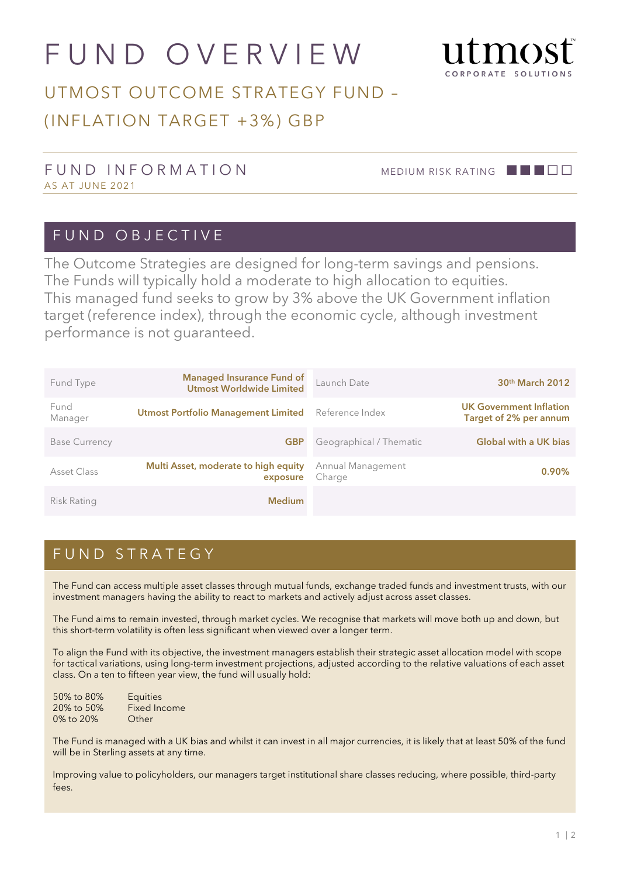# FUND OVERVIEW



## UTMOST OUTCOME STRATEGY FUND – (INFLATION TARGET +3%) GBP

#### FUND INFORMATION MEDIUM RISK RATING **BELO** AS AT JUNE 2021

#### FUND OBJECTIVE

The Outcome Strategies are designed for long-term savings and pensions. The Funds will typically hold a moderate to high allocation to equities. This managed fund seeks to grow by 3% above the UK Government inflation target (reference index), through the economic cycle, although investment performance is not guaranteed.

| Fund Type            | <b>Managed Insurance Fund of</b><br><b>Utmost Worldwide Limited</b> | Launch Date                 | 30 <sup>th</sup> March 2012                              |
|----------------------|---------------------------------------------------------------------|-----------------------------|----------------------------------------------------------|
| Fund<br>Manager      | <b>Utmost Portfolio Management Limited</b>                          | Reference Index             | <b>UK Government Inflation</b><br>Target of 2% per annum |
| <b>Base Currency</b> | <b>GBP</b>                                                          | Geographical / Thematic     | <b>Global with a UK bias</b>                             |
| Asset Class          | Multi Asset, moderate to high equity<br>exposure                    | Annual Management<br>Charge | 0.90%                                                    |
| Risk Rating          | <b>Medium</b>                                                       |                             |                                                          |

### FUND STRATEGY

The Fund can access multiple asset classes through mutual funds, exchange traded funds and investment trusts, with our investment managers having the ability to react to markets and actively adjust across asset classes.

The Fund aims to remain invested, through market cycles. We recognise that markets will move both up and down, but this short-term volatility is often less significant when viewed over a longer term.

To align the Fund with its objective, the investment managers establish their strategic asset allocation model with scope for tactical variations, using long-term investment projections, adjusted according to the relative valuations of each asset class. On a ten to fifteen year view, the fund will usually hold:

| 50% to 80% | <b>Equities</b> |
|------------|-----------------|
| 20% to 50% | Fixed Income    |
| 0% to 20%  | Other           |

The Fund is managed with a UK bias and whilst it can invest in all major currencies, it is likely that at least 50% of the fund will be in Sterling assets at any time.

Improving value to policyholders, our managers target institutional share classes reducing, where possible, third-party fees.